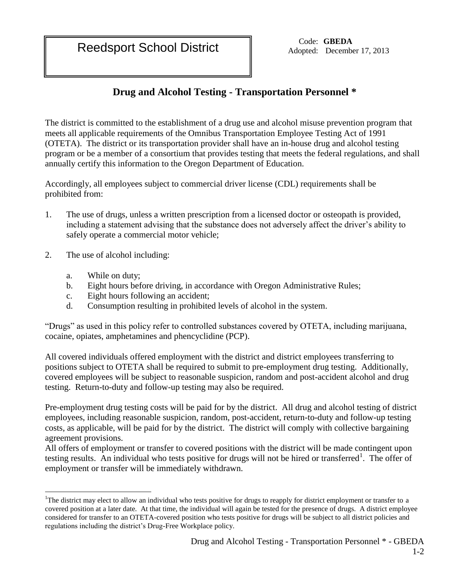Reedsport School District Code: GBEDA

## **Drug and Alcohol Testing - Transportation Personnel \***

The district is committed to the establishment of a drug use and alcohol misuse prevention program that meets all applicable requirements of the Omnibus Transportation Employee Testing Act of 1991 (OTETA). The district or its transportation provider shall have an in-house drug and alcohol testing program or be a member of a consortium that provides testing that meets the federal regulations, and shall annually certify this information to the Oregon Department of Education.

Accordingly, all employees subject to commercial driver license (CDL) requirements shall be prohibited from:

- 1. The use of drugs, unless a written prescription from a licensed doctor or osteopath is provided, including a statement advising that the substance does not adversely affect the driver's ability to safely operate a commercial motor vehicle;
- 2. The use of alcohol including:
	- a. While on duty;

 $\overline{a}$ 

- b. Eight hours before driving, in accordance with Oregon Administrative Rules;
- c. Eight hours following an accident;
- d. Consumption resulting in prohibited levels of alcohol in the system.

"Drugs" as used in this policy refer to controlled substances covered by OTETA, including marijuana, cocaine, opiates, amphetamines and phencyclidine (PCP).

All covered individuals offered employment with the district and district employees transferring to positions subject to OTETA shall be required to submit to pre-employment drug testing. Additionally, covered employees will be subject to reasonable suspicion, random and post-accident alcohol and drug testing. Return-to-duty and follow-up testing may also be required.

Pre-employment drug testing costs will be paid for by the district. All drug and alcohol testing of district employees, including reasonable suspicion, random, post-accident, return-to-duty and follow-up testing costs, as applicable, will be paid for by the district. The district will comply with collective bargaining agreement provisions.

All offers of employment or transfer to covered positions with the district will be made contingent upon testing results. An individual who tests positive for drugs will not be hired or transferred<sup>1</sup>. The offer of employment or transfer will be immediately withdrawn.

<sup>&</sup>lt;sup>1</sup>The district may elect to allow an individual who tests positive for drugs to reapply for district employment or transfer to a covered position at a later date. At that time, the individual will again be tested for the presence of drugs. A district employee considered for transfer to an OTETA-covered position who tests positive for drugs will be subject to all district policies and regulations including the district's Drug-Free Workplace policy.